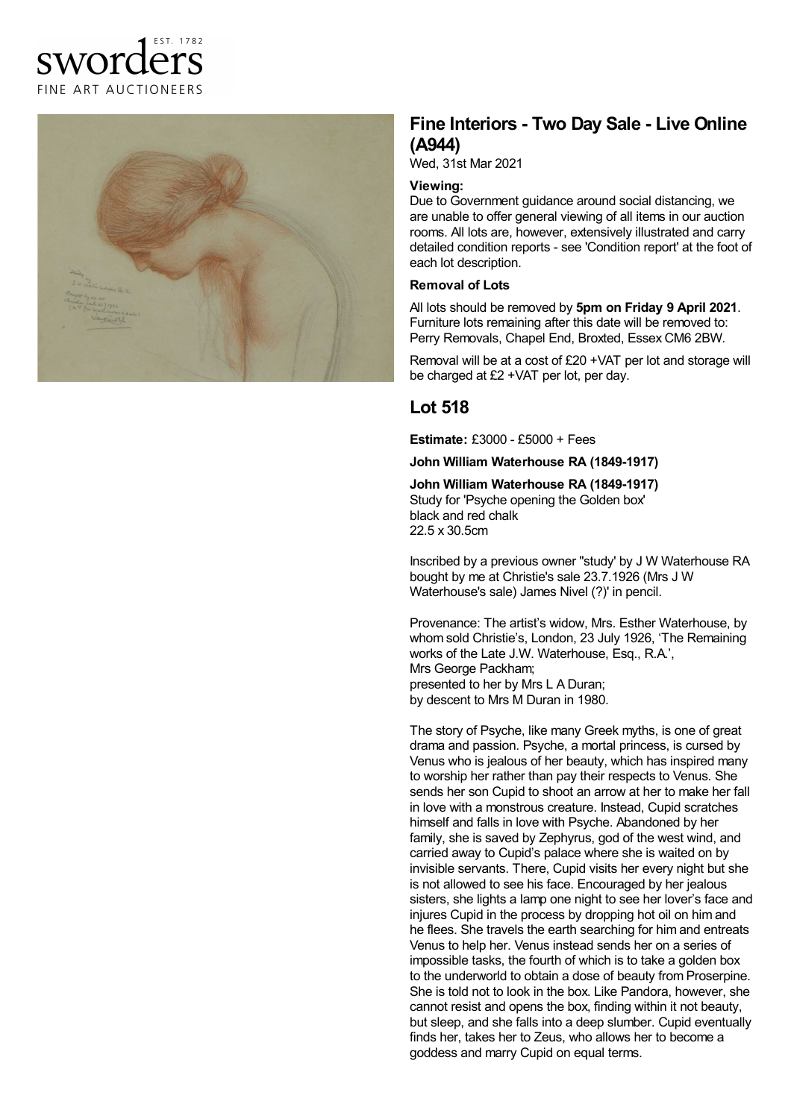# sworder FINE ART AUCTIONEERS



## **Fine Interiors - Two Day Sale - Live Online (A944)**

Wed, 31st Mar 2021

#### **Viewing:**

Due to Government guidance around social distancing, we are unable to offer general viewing of all items in our auction rooms. All lots are, however, extensively illustrated and carry detailed condition reports - see 'Condition report' at the foot of each lot description.

#### **Removal of Lots**

All lots should be removed by **5pm on Friday 9 April 2021**. Furniture lots remaining after this date will be removed to: Perry Removals, Chapel End, Broxted, Essex CM6 2BW.

Removal will be at a cost of £20 +VAT per lot and storage will be charged at £2 +VAT per lot, per day.

### **Lot 518**

**Estimate:** £3000 - £5000 + Fees

**John William Waterhouse RA (1849-1917)**

**John William Waterhouse RA (1849-1917)** Study for 'Psyche opening the Golden box' black and red chalk 22.5 x 30.5cm

Inscribed by a previous owner ''study' by J W Waterhouse RA bought by me at Christie's sale 23.7.1926 (Mrs J W Waterhouse's sale) James Nivel (?)' in pencil.

Provenance: The artist's widow, Mrs. Esther Waterhouse, by whom sold Christie's, London, 23 July 1926, 'The Remaining works of the Late J.W. Waterhouse, Esq., R.A.', Mrs George Packham; presented to her by Mrs L A Duran; by descent to Mrs M Duran in 1980.

The story of Psyche, like many Greek myths, is one of great drama and passion. Psyche, a mortal princess, is cursed by Venus who is jealous of her beauty, which has inspired many to worship her rather than pay their respects to Venus. She sends her son Cupid to shoot an arrow at her to make her fall in love with a monstrous creature. Instead, Cupid scratches himself and falls in love with Psyche. Abandoned by her family, she is saved by Zephyrus, god of the west wind, and carried away to Cupid's palace where she is waited on by invisible servants. There, Cupid visits her every night but she is not allowed to see his face. Encouraged by her jealous sisters, she lights a lamp one night to see her lover's face and injures Cupid in the process by dropping hot oil on him and he flees. She travels the earth searching for him and entreats Venus to help her. Venus instead sends her on a series of impossible tasks, the fourth of which is to take a golden box to the underworld to obtain a dose of beauty from Proserpine. She is told not to look in the box. Like Pandora, however, she cannot resist and opens the box, finding within it not beauty, but sleep, and she falls into a deep slumber. Cupid eventually finds her, takes her to Zeus, who allows her to become a goddess and marry Cupid on equal terms.